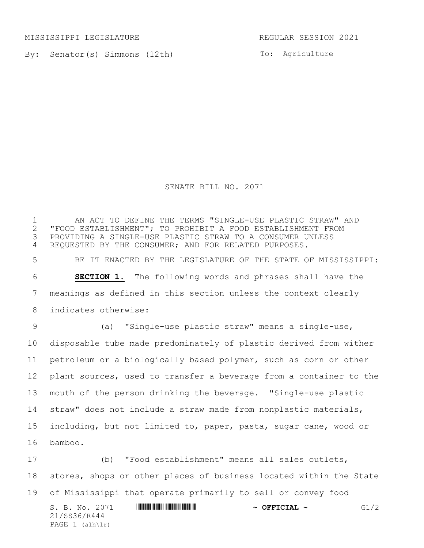MISSISSIPPI LEGISLATURE REGULAR SESSION 2021

By: Senator(s) Simmons (12th)

To: Agriculture

SENATE BILL NO. 2071

1 THE ONEXALL THE TERMS IS INGLE-USE PLASTIC STRAW" AND THE TERMS IS INGLE-USE PLASTIC STRAW" AND 1.1 IN ANDI "FOOD ESTABLISHMENT"; TO PROHIBIT A FOOD ESTABLISHMENT FROM PROVIDING A SINGLE-USE PLASTIC STRAW TO A CONSUMER UNLESS REQUESTED BY THE CONSUMER; AND FOR RELATED PURPOSES. BE IT ENACTED BY THE LEGISLATURE OF THE STATE OF MISSISSIPPI: **SECTION 1.** The following words and phrases shall have the meanings as defined in this section unless the context clearly indicates otherwise: (a) "Single-use plastic straw" means a single-use, disposable tube made predominately of plastic derived from wither petroleum or a biologically based polymer, such as corn or other plant sources, used to transfer a beverage from a container to the mouth of the person drinking the beverage. "Single-use plastic straw" does not include a straw made from nonplastic materials, including, but not limited to, paper, pasta, sugar cane, wood or bamboo.

 (b) "Food establishment" means all sales outlets, stores, shops or other places of business located within the State of Mississippi that operate primarily to sell or convey food

S. B. No. 2071 **\*\*\* A SECONDE A SECONDE A SECONDE A SECONDE A GI/2** 21/SS36/R444 PAGE (alh\lr)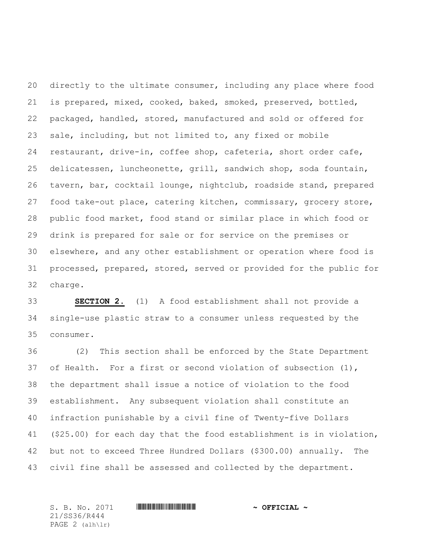directly to the ultimate consumer, including any place where food is prepared, mixed, cooked, baked, smoked, preserved, bottled, packaged, handled, stored, manufactured and sold or offered for sale, including, but not limited to, any fixed or mobile restaurant, drive-in, coffee shop, cafeteria, short order cafe, delicatessen, luncheonette, grill, sandwich shop, soda fountain, tavern, bar, cocktail lounge, nightclub, roadside stand, prepared food take-out place, catering kitchen, commissary, grocery store, public food market, food stand or similar place in which food or drink is prepared for sale or for service on the premises or elsewhere, and any other establishment or operation where food is processed, prepared, stored, served or provided for the public for charge.

 **SECTION 2.** (1) A food establishment shall not provide a single-use plastic straw to a consumer unless requested by the consumer.

 (2) This section shall be enforced by the State Department of Health. For a first or second violation of subsection (1), the department shall issue a notice of violation to the food establishment. Any subsequent violation shall constitute an infraction punishable by a civil fine of Twenty-five Dollars (\$25.00) for each day that the food establishment is in violation, but not to exceed Three Hundred Dollars (\$300.00) annually. The civil fine shall be assessed and collected by the department.

S. B. No. 2071 \*SS36/R444\* **~ OFFICIAL ~** 21/SS36/R444 PAGE (alh\lr)